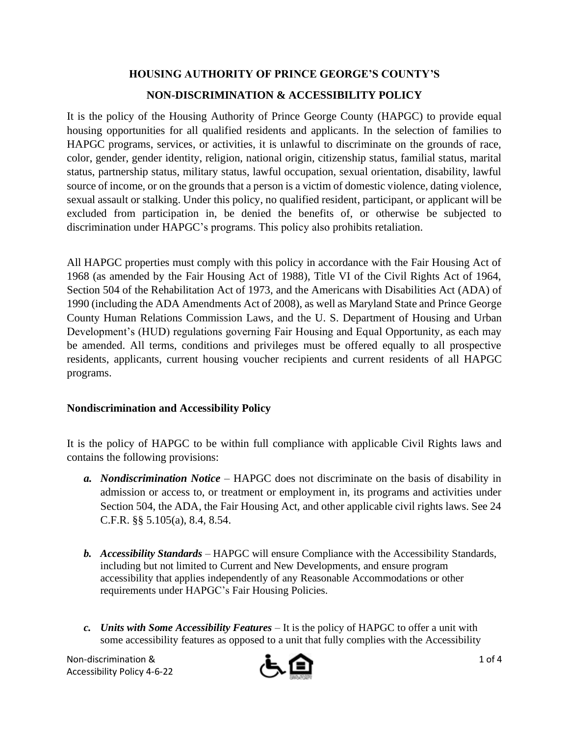## **HOUSING AUTHORITY OF PRINCE GEORGE'S COUNTY'S**

## **NON-DISCRIMINATION & ACCESSIBILITY POLICY**

It is the policy of the Housing Authority of Prince George County (HAPGC) to provide equal housing opportunities for all qualified residents and applicants. In the selection of families to HAPGC programs, services, or activities, it is unlawful to discriminate on the grounds of race, color, gender, gender identity, religion, national origin, citizenship status, familial status, marital status, partnership status, military status, lawful occupation, sexual orientation, disability, lawful source of income, or on the grounds that a person is a victim of domestic violence, dating violence, sexual assault or stalking. Under this policy, no qualified resident, participant, or applicant will be excluded from participation in, be denied the benefits of, or otherwise be subjected to discrimination under HAPGC's programs. This policy also prohibits retaliation.

All HAPGC properties must comply with this policy in accordance with the Fair Housing Act of 1968 (as amended by the Fair Housing Act of 1988), Title VI of the Civil Rights Act of 1964, Section 504 of the Rehabilitation Act of 1973, and the Americans with Disabilities Act (ADA) of 1990 (including the ADA Amendments Act of 2008), as well as Maryland State and Prince George County Human Relations Commission Laws, and the U. S. Department of Housing and Urban Development's (HUD) regulations governing Fair Housing and Equal Opportunity, as each may be amended. All terms, conditions and privileges must be offered equally to all prospective residents, applicants, current housing voucher recipients and current residents of all HAPGC programs.

## **Nondiscrimination and Accessibility Policy**

It is the policy of HAPGC to be within full compliance with applicable Civil Rights laws and contains the following provisions:

- *a. Nondiscrimination Notice*  HAPGC does not discriminate on the basis of disability in admission or access to, or treatment or employment in, its programs and activities under Section 504, the ADA, the Fair Housing Act, and other applicable civil rights laws. See 24 C.F.R. §§ 5.105(a), 8.4, 8.54.
- *b. Accessibility Standards* HAPGC will ensure Compliance with the Accessibility Standards, including but not limited to Current and New Developments, and ensure program accessibility that applies independently of any Reasonable Accommodations or other requirements under HAPGC's Fair Housing Policies.
- *c. Units with Some Accessibility Features* It is the policy of HAPGC to offer a unit with some accessibility features as opposed to a unit that fully complies with the Accessibility

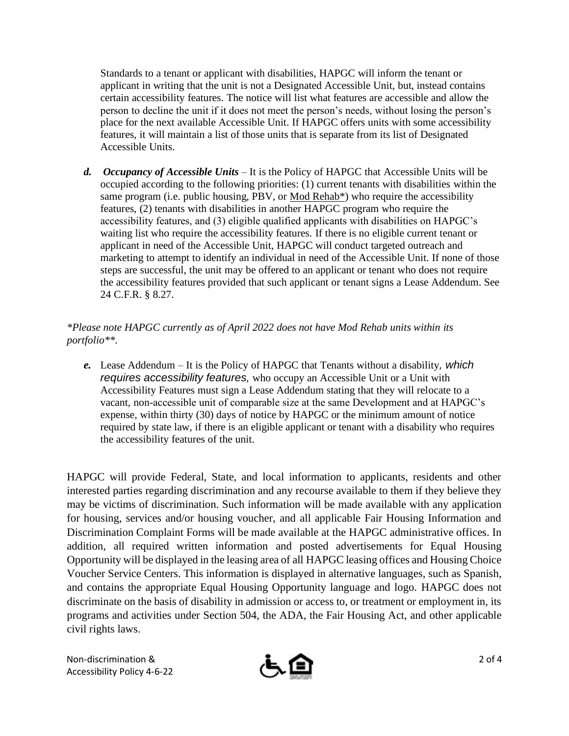Standards to a tenant or applicant with disabilities, HAPGC will inform the tenant or applicant in writing that the unit is not a Designated Accessible Unit, but, instead contains certain accessibility features. The notice will list what features are accessible and allow the person to decline the unit if it does not meet the person's needs, without losing the person's place for the next available Accessible Unit. If HAPGC offers units with some accessibility features, it will maintain a list of those units that is separate from its list of Designated Accessible Units.

*d. Occupancy of Accessible Units* – It is the Policy of HAPGC that Accessible Units will be occupied according to the following priorities: (1) current tenants with disabilities within the same program (i.e. public housing, PBV, or Mod Rehab\*) who require the accessibility features, (2) tenants with disabilities in another HAPGC program who require the accessibility features, and (3) eligible qualified applicants with disabilities on HAPGC's waiting list who require the accessibility features. If there is no eligible current tenant or applicant in need of the Accessible Unit, HAPGC will conduct targeted outreach and marketing to attempt to identify an individual in need of the Accessible Unit. If none of those steps are successful, the unit may be offered to an applicant or tenant who does not require the accessibility features provided that such applicant or tenant signs a Lease Addendum. See 24 C.F.R. § 8.27.

## *\*Please note HAPGC currently as of April 2022 does not have Mod Rehab units within its portfolio\*\*.*

*e.* Lease Addendum – It is the Policy of HAPGC that Tenants without a disability*, which requires accessibility features,* who occupy an Accessible Unit or a Unit with Accessibility Features must sign a Lease Addendum stating that they will relocate to a vacant, non-accessible unit of comparable size at the same Development and at HAPGC's expense, within thirty (30) days of notice by HAPGC or the minimum amount of notice required by state law, if there is an eligible applicant or tenant with a disability who requires the accessibility features of the unit.

HAPGC will provide Federal, State, and local information to applicants, residents and other interested parties regarding discrimination and any recourse available to them if they believe they may be victims of discrimination. Such information will be made available with any application for housing, services and/or housing voucher, and all applicable Fair Housing Information and Discrimination Complaint Forms will be made available at the HAPGC administrative offices. In addition, all required written information and posted advertisements for Equal Housing Opportunity will be displayed in the leasing area of all HAPGC leasing offices and Housing Choice Voucher Service Centers. This information is displayed in alternative languages, such as Spanish, and contains the appropriate Equal Housing Opportunity language and logo. HAPGC does not discriminate on the basis of disability in admission or access to, or treatment or employment in, its programs and activities under Section 504, the ADA, the Fair Housing Act, and other applicable civil rights laws.

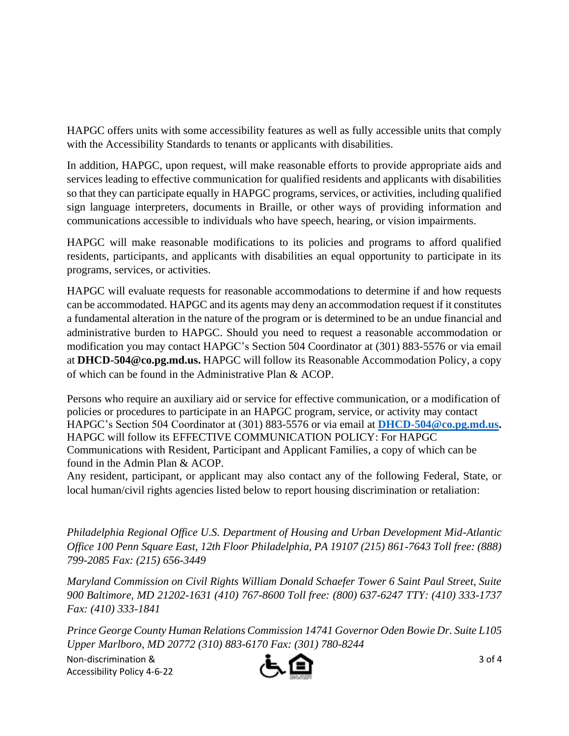HAPGC offers units with some accessibility features as well as fully accessible units that comply with the Accessibility Standards to tenants or applicants with disabilities.

In addition, HAPGC, upon request, will make reasonable efforts to provide appropriate aids and services leading to effective communication for qualified residents and applicants with disabilities so that they can participate equally in HAPGC programs, services, or activities, including qualified sign language interpreters, documents in Braille, or other ways of providing information and communications accessible to individuals who have speech, hearing, or vision impairments.

HAPGC will make reasonable modifications to its policies and programs to afford qualified residents, participants, and applicants with disabilities an equal opportunity to participate in its programs, services, or activities.

HAPGC will evaluate requests for reasonable accommodations to determine if and how requests can be accommodated. HAPGC and its agents may deny an accommodation request if it constitutes a fundamental alteration in the nature of the program or is determined to be an undue financial and administrative burden to HAPGC. Should you need to request a reasonable accommodation or modification you may contact HAPGC's Section 504 Coordinator at (301) 883-5576 or via email at **DHCD-504@co.pg.md.us.** HAPGC will follow its Reasonable Accommodation Policy, a copy of which can be found in the Administrative Plan & ACOP.

Persons who require an auxiliary aid or service for effective communication, or a modification of policies or procedures to participate in an HAPGC program, service, or activity may contact HAPGC's Section 504 Coordinator at (301) 883-5576 or via email at **[DHCD-504@co.pg.md.us.](mailto:DHCD-504@co.pg.md.us)** HAPGC will follow its EFFECTIVE COMMUNICATION POLICY: For HAPGC Communications with Resident, Participant and Applicant Families, a copy of which can be found in the Admin Plan & ACOP.

Any resident, participant, or applicant may also contact any of the following Federal, State, or local human/civil rights agencies listed below to report housing discrimination or retaliation:

*Philadelphia Regional Office U.S. Department of Housing and Urban Development Mid-Atlantic Office 100 Penn Square East, 12th Floor Philadelphia, PA 19107 (215) 861-7643 Toll free: (888) 799-2085 Fax: (215) 656-3449* 

*Maryland Commission on Civil Rights William Donald Schaefer Tower 6 Saint Paul Street, Suite 900 Baltimore, MD 21202-1631 (410) 767-8600 Toll free: (800) 637-6247 TTY: (410) 333-1737 Fax: (410) 333-1841* 

*Prince George County Human Relations Commission 14741 Governor Oden Bowie Dr. Suite L105 Upper Marlboro, MD 20772 (310) 883-6170 Fax: (301) 780-8244*